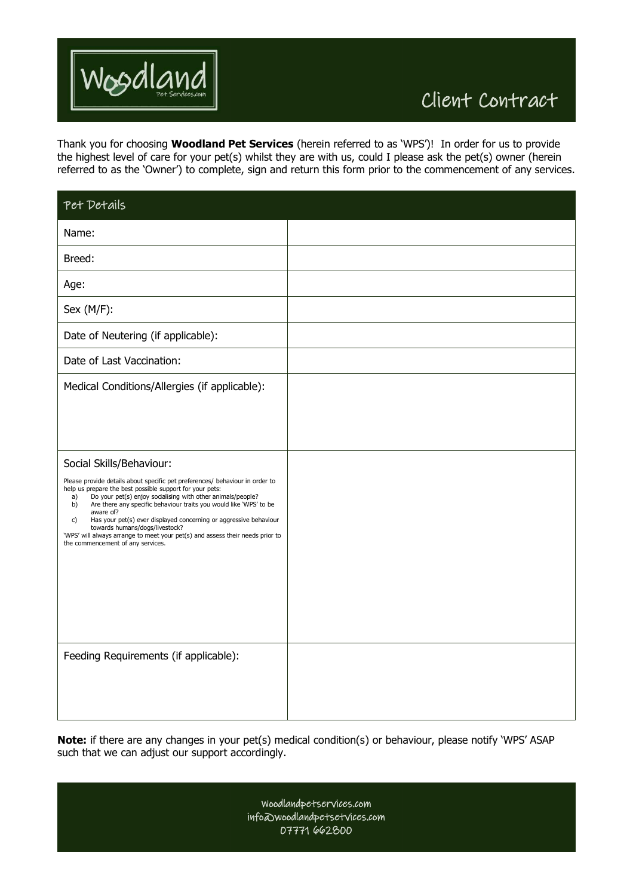

Thank you for choosing **Woodland Pet Services** (herein referred to as 'WPS')! In order for us to provide the highest level of care for your pet(s) whilst they are with us, could I please ask the pet(s) owner (herein referred to as the 'Owner') to complete, sign and return this form prior to the commencement of any services.

| Pet Details                                                                                                                                                                                                                                                                                                                                                                                                                                                                                                                                                           |  |
|-----------------------------------------------------------------------------------------------------------------------------------------------------------------------------------------------------------------------------------------------------------------------------------------------------------------------------------------------------------------------------------------------------------------------------------------------------------------------------------------------------------------------------------------------------------------------|--|
| Name:                                                                                                                                                                                                                                                                                                                                                                                                                                                                                                                                                                 |  |
| Breed:                                                                                                                                                                                                                                                                                                                                                                                                                                                                                                                                                                |  |
| Age:                                                                                                                                                                                                                                                                                                                                                                                                                                                                                                                                                                  |  |
| Sex (M/F):                                                                                                                                                                                                                                                                                                                                                                                                                                                                                                                                                            |  |
| Date of Neutering (if applicable):                                                                                                                                                                                                                                                                                                                                                                                                                                                                                                                                    |  |
| Date of Last Vaccination:                                                                                                                                                                                                                                                                                                                                                                                                                                                                                                                                             |  |
| Medical Conditions/Allergies (if applicable):                                                                                                                                                                                                                                                                                                                                                                                                                                                                                                                         |  |
| Social Skills/Behaviour:<br>Please provide details about specific pet preferences/ behaviour in order to<br>help us prepare the best possible support for your pets:<br>Do your pet(s) enjoy socialising with other animals/people?<br>a)<br>Are there any specific behaviour traits you would like 'WPS' to be<br>b)<br>aware of?<br>Has your pet(s) ever displayed concerning or aggressive behaviour<br>c)<br>towards humans/dogs/livestock?<br>'WPS' will always arrange to meet your pet(s) and assess their needs prior to<br>the commencement of any services. |  |
| Feeding Requirements (if applicable):                                                                                                                                                                                                                                                                                                                                                                                                                                                                                                                                 |  |

**Note:** if there are any changes in your pet(s) medical condition(s) or behaviour, please notify 'WPS' ASAP such that we can adjust our support accordingly.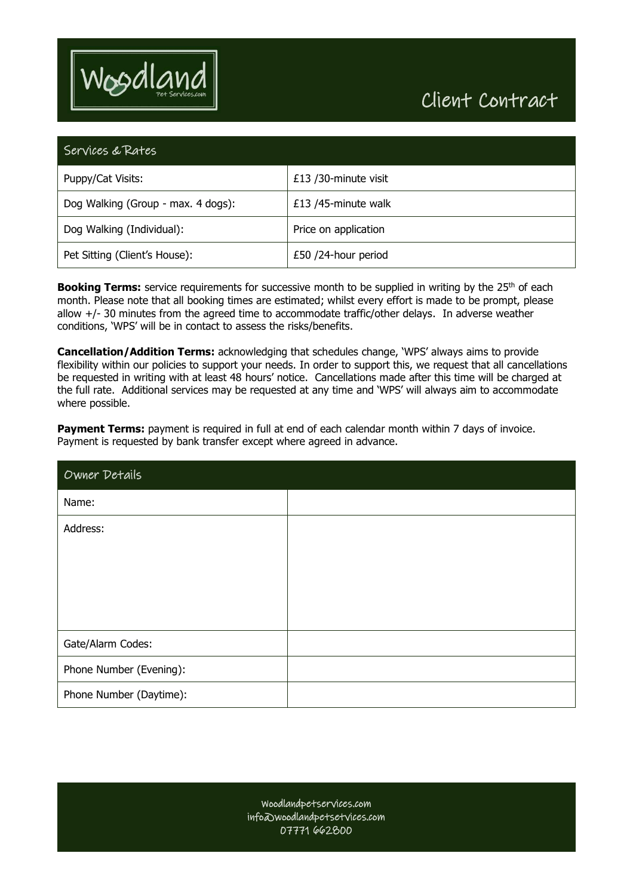

## Client Contract

| Services & Rates                   |                      |  |
|------------------------------------|----------------------|--|
| Puppy/Cat Visits:                  | £13 /30-minute visit |  |
| Dog Walking (Group - max. 4 dogs): | £13 /45-minute walk  |  |
| Dog Walking (Individual):          | Price on application |  |
| Pet Sitting (Client's House):      | £50 /24-hour period  |  |

**Booking Terms:** service requirements for successive month to be supplied in writing by the 25<sup>th</sup> of each month. Please note that all booking times are estimated; whilst every effort is made to be prompt, please allow +/- 30 minutes from the agreed time to accommodate traffic/other delays. In adverse weather conditions, 'WPS' will be in contact to assess the risks/benefits.

**Cancellation/Addition Terms:** acknowledging that schedules change, 'WPS' always aims to provide flexibility within our policies to support your needs. In order to support this, we request that all cancellations be requested in writing with at least 48 hours' notice. Cancellations made after this time will be charged at the full rate. Additional services may be requested at any time and 'WPS' will always aim to accommodate where possible.

**Payment Terms:** payment is required in full at end of each calendar month within 7 days of invoice. Payment is requested by bank transfer except where agreed in advance.

| Owner Details           |  |
|-------------------------|--|
| Name:                   |  |
| Address:                |  |
|                         |  |
|                         |  |
|                         |  |
| Gate/Alarm Codes:       |  |
| Phone Number (Evening): |  |
| Phone Number (Daytime): |  |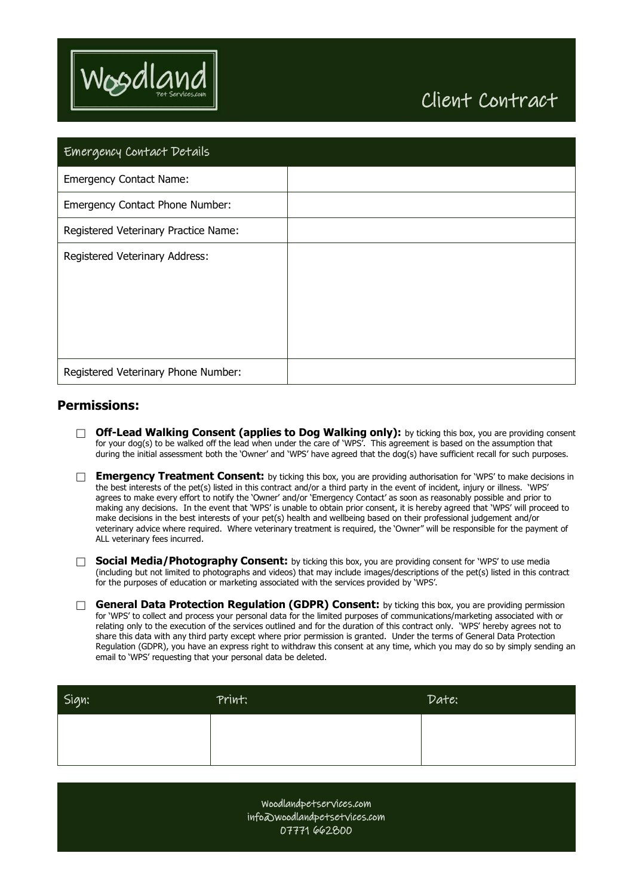

## Client Contract

| Emergency Contact Details            |  |
|--------------------------------------|--|
| <b>Emergency Contact Name:</b>       |  |
| Emergency Contact Phone Number:      |  |
| Registered Veterinary Practice Name: |  |
| Registered Veterinary Address:       |  |
| Registered Veterinary Phone Number:  |  |

## **Permissions:**

- **Off-Lead Walking Consent (applies to Dog Walking only):** by ticking this box, you are providing consent for your dog(s) to be walked off the lead when under the care of 'WPS'. This agreement is based on the assumption that during the initial assessment both the 'Owner' and 'WPS' have agreed that the dog(s) have sufficient recall for such purposes.
- **Emergency Treatment Consent:** by ticking this box, you are providing authorisation for 'WPS' to make decisions in the best interests of the pet(s) listed in this contract and/or a third party in the event of incident, injury or illness. 'WPS' agrees to make every effort to notify the 'Owner' and/or 'Emergency Contact' as soon as reasonably possible and prior to making any decisions. In the event that 'WPS' is unable to obtain prior consent, it is hereby agreed that 'WPS' will proceed to make decisions in the best interests of your pet(s) health and wellbeing based on their professional judgement and/or veterinary advice where required. Where veterinary treatment is required, the 'Owner" will be responsible for the payment of ALL veterinary fees incurred.
- **Social Media/Photography Consent:** by ticking this box, you are providing consent for 'WPS' to use media (including but not limited to photographs and videos) that may include images/descriptions of the pet(s) listed in this contract for the purposes of education or marketing associated with the services provided by 'WPS'.
- **General Data Protection Regulation (GDPR) Consent:** by ticking this box, you are providing permission for 'WPS' to collect and process your personal data for the limited purposes of communications/marketing associated with or relating only to the execution of the services outlined and for the duration of this contract only. 'WPS' hereby agrees not to share this data with any third party except where prior permission is granted. Under the terms of General Data Protection Regulation (GDPR), you have an express right to withdraw this consent at any time, which you may do so by simply sending an email to 'WPS' requesting that your personal data be deleted.

| Sign: | Print: | Date: |
|-------|--------|-------|
|       |        |       |
|       |        |       |